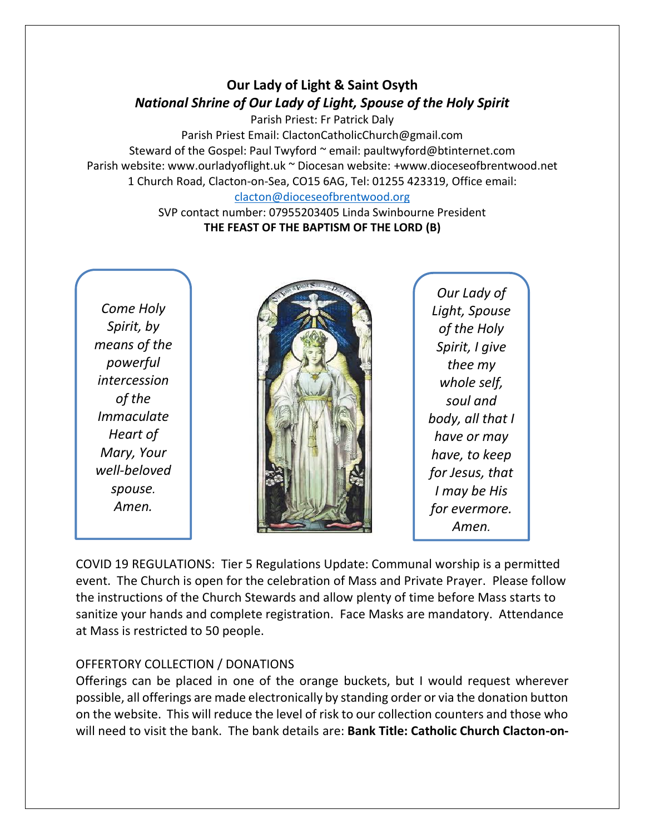## **Our Lady of Light & Saint Osyth** *National Shrine of Our Lady of Light, Spouse of the Holy Spirit*

Parish Priest: Fr Patrick Daly

Parish Priest Email: ClactonCatholicChurch@gmail.com Steward of the Gospel: Paul Twyford ~ email: paultwyford@btinternet.com Parish website: www.ourladyoflight.uk ~ Diocesan website: +www.dioceseofbrentwood.net 1 Church Road, Clacton-on-Sea, CO15 6AG, Tel: 01255 423319, Office email: [clacton@dioceseofbrentwood.org](mailto:clacton@dioceseofbrentwood.org)

SVP contact number: 07955203405 Linda Swinbourne President **THE FEAST OF THE BAPTISM OF THE LORD (B)**

*Come Holy Spirit, by means of the powerful intercession of the Immaculate Heart of Mary, Your well-beloved spouse. Amen.*



*Our Lady of Light, Spouse of the Holy Spirit, I give thee my whole self, soul and body, all that I have or may have, to keep for Jesus, that I may be His for evermore. Amen.*

COVID 19 REGULATIONS: Tier 5 Regulations Update: Communal worship is a permitted event. The Church is open for the celebration of Mass and Private Prayer. Please follow the instructions of the Church Stewards and allow plenty of time before Mass starts to sanitize your hands and complete registration. Face Masks are mandatory. Attendance at Mass is restricted to 50 people.

## OFFERTORY COLLECTION / DONATIONS

Offerings can be placed in one of the orange buckets, but I would request wherever possible, all offerings are made electronically by standing order or via the donation button on the website. This will reduce the level of risk to our collection counters and those who will need to visit the bank. The bank details are: **Bank Title: Catholic Church Clacton-on-**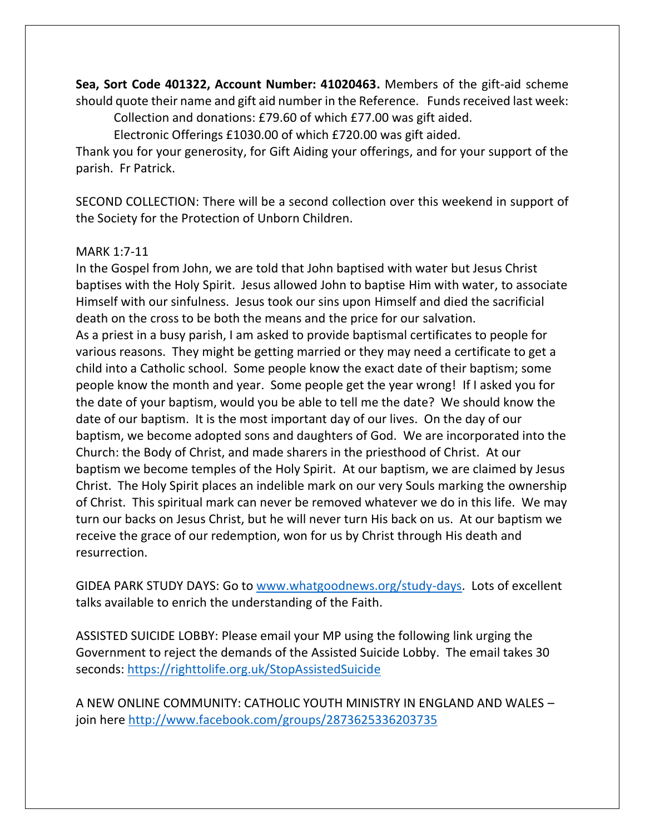**Sea, Sort Code 401322, Account Number: 41020463.** Members of the gift-aid scheme should quote their name and gift aid number in the Reference. Funds received last week: Collection and donations: £79.60 of which £77.00 was gift aided.

Electronic Offerings £1030.00 of which £720.00 was gift aided.

Thank you for your generosity, for Gift Aiding your offerings, and for your support of the parish. Fr Patrick.

SECOND COLLECTION: There will be a second collection over this weekend in support of the Society for the Protection of Unborn Children.

## MARK 1:7-11

In the Gospel from John, we are told that John baptised with water but Jesus Christ baptises with the Holy Spirit. Jesus allowed John to baptise Him with water, to associate Himself with our sinfulness. Jesus took our sins upon Himself and died the sacrificial death on the cross to be both the means and the price for our salvation. As a priest in a busy parish, I am asked to provide baptismal certificates to people for various reasons. They might be getting married or they may need a certificate to get a child into a Catholic school. Some people know the exact date of their baptism; some people know the month and year. Some people get the year wrong! If I asked you for the date of your baptism, would you be able to tell me the date? We should know the date of our baptism. It is the most important day of our lives. On the day of our baptism, we become adopted sons and daughters of God. We are incorporated into the Church: the Body of Christ, and made sharers in the priesthood of Christ. At our baptism we become temples of the Holy Spirit. At our baptism, we are claimed by Jesus Christ. The Holy Spirit places an indelible mark on our very Souls marking the ownership of Christ. This spiritual mark can never be removed whatever we do in this life. We may turn our backs on Jesus Christ, but he will never turn His back on us. At our baptism we receive the grace of our redemption, won for us by Christ through His death and resurrection.

GIDEA PARK STUDY DAYS: Go to [www.whatgoodnews.org/study-days.](http://www.whatgoodnews.org/study-days) Lots of excellent talks available to enrich the understanding of the Faith.

ASSISTED SUICIDE LOBBY: Please email your MP using the following link urging the Government to reject the demands of the Assisted Suicide Lobby. The email takes 30 seconds:<https://righttolife.org.uk/StopAssistedSuicide>

A NEW ONLINE COMMUNITY: CATHOLIC YOUTH MINISTRY IN ENGLAND AND WALES – join here<http://www.facebook.com/groups/2873625336203735>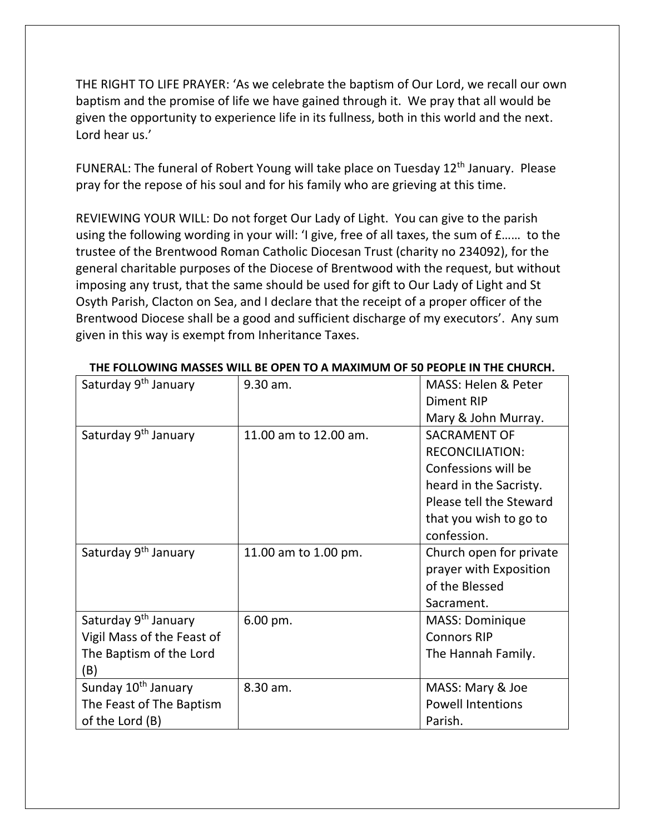THE RIGHT TO LIFE PRAYER: 'As we celebrate the baptism of Our Lord, we recall our own baptism and the promise of life we have gained through it. We pray that all would be given the opportunity to experience life in its fullness, both in this world and the next. Lord hear us.'

FUNERAL: The funeral of Robert Young will take place on Tuesday  $12<sup>th</sup>$  January. Please pray for the repose of his soul and for his family who are grieving at this time.

REVIEWING YOUR WILL: Do not forget Our Lady of Light. You can give to the parish using the following wording in your will: 'I give, free of all taxes, the sum of £…… to the trustee of the Brentwood Roman Catholic Diocesan Trust (charity no 234092), for the general charitable purposes of the Diocese of Brentwood with the request, but without imposing any trust, that the same should be used for gift to Our Lady of Light and St Osyth Parish, Clacton on Sea, and I declare that the receipt of a proper officer of the Brentwood Diocese shall be a good and sufficient discharge of my executors'. Any sum given in this way is exempt from Inheritance Taxes.

| Saturday 9 <sup>th</sup> January | $9.30$ am.            | MASS: Helen & Peter<br>Diment RIP |
|----------------------------------|-----------------------|-----------------------------------|
|                                  |                       | Mary & John Murray.               |
| Saturday 9 <sup>th</sup> January | 11.00 am to 12.00 am. | <b>SACRAMENT OF</b>               |
|                                  |                       | <b>RECONCILIATION:</b>            |
|                                  |                       | Confessions will be               |
|                                  |                       | heard in the Sacristy.            |
|                                  |                       | Please tell the Steward           |
|                                  |                       | that you wish to go to            |
|                                  |                       | confession.                       |
| Saturday 9 <sup>th</sup> January | 11.00 am to 1.00 pm.  | Church open for private           |
|                                  |                       | prayer with Exposition            |
|                                  |                       | of the Blessed                    |
|                                  |                       | Sacrament.                        |
| Saturday 9 <sup>th</sup> January | 6.00 pm.              | <b>MASS: Dominique</b>            |
| Vigil Mass of the Feast of       |                       | <b>Connors RIP</b>                |
| The Baptism of the Lord          |                       | The Hannah Family.                |
| (B)                              |                       |                                   |
| Sunday 10 <sup>th</sup> January  | 8.30 am.              | MASS: Mary & Joe                  |
| The Feast of The Baptism         |                       | <b>Powell Intentions</b>          |
| of the Lord (B)                  |                       | Parish.                           |

## **THE FOLLOWING MASSES WILL BE OPEN TO A MAXIMUM OF 50 PEOPLE IN THE CHURCH.**